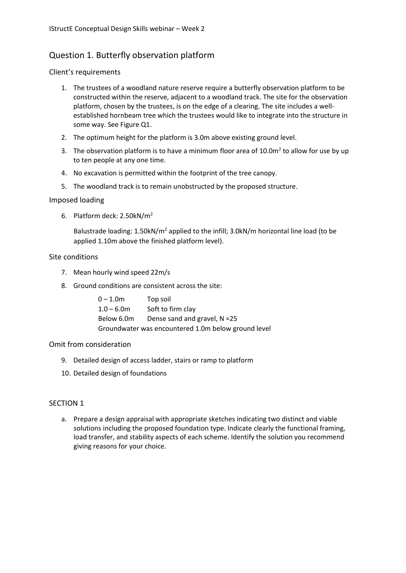# Question 1. Butterfly observation platform

# Client's requirements

- 1. The trustees of a woodland nature reserve require a butterfly observation platform to be constructed within the reserve, adjacent to a woodland track. The site for the observation platform, chosen by the trustees, is on the edge of a clearing. The site includes a wellestablished hornbeam tree which the trustees would like to integrate into the structure in some way. See Figure Q1.
- 2. The optimum height for the platform is 3.0m above existing ground level.
- 3. The observation platform is to have a minimum floor area of  $10.0m^2$  to allow for use by up to ten people at any one time.
- 4. No excavation is permitted within the footprint of the tree canopy.
- 5. The woodland track is to remain unobstructed by the proposed structure.

### Imposed loading

6. Platform deck: 2.50kN/m<sup>2</sup>

Balustrade loading:  $1.50kN/m^2$  applied to the infill;  $3.0kN/m$  horizontal line load (to be applied 1.10m above the finished platform level).

### Site conditions

- 7. Mean hourly wind speed 22m/s
- 8. Ground conditions are consistent across the site:

| $0 - 1.0m$                                          | Top soil                        |
|-----------------------------------------------------|---------------------------------|
| $1.0 - 6.0m$                                        | Soft to firm clay               |
| Below 6.0m                                          | Dense sand and gravel, $N = 25$ |
| Groundwater was encountered 1.0m below ground level |                                 |

#### Omit from consideration

- 9. Detailed design of access ladder, stairs or ramp to platform
- 10. Detailed design of foundations

# SECTION 1

a. Prepare a design appraisal with appropriate sketches indicating two distinct and viable solutions including the proposed foundation type. Indicate clearly the functional framing, load transfer, and stability aspects of each scheme. Identify the solution you recommend giving reasons for your choice.